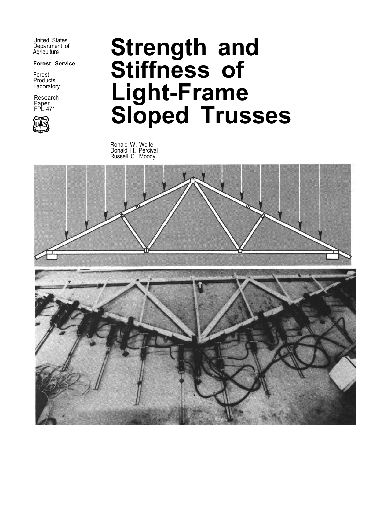United States Department of **Agriculture** 

**Forest Service** 

Forest **Products** Laboratory

Research Paper FPL 471



# **Strength and Stiffness of Light-Frame Sloped Trusses**

Ronald W. Wolfe Donald H. Percival Russell C. Moody

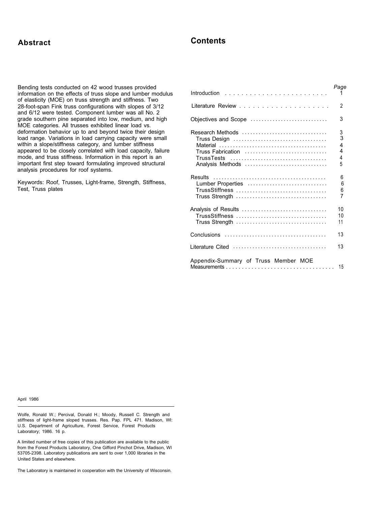### **Abstract Contents**

Bending tests conducted on 42 wood trusses provided information on the effects of truss slope and lumber modulus of elasticity (MOE) on truss strength and stiffness. Two 28-foot-span Fink truss configurations with slopes of 3/12 and 6/12 were tested. Component lumber was all No. 2 grade southern pine separated into low, medium, and high MOE categories. All trusses exhibited linear load vs. deformation behavior up to and beyond twice their design load range. Variations in load carrying capacity were small within a slope/stiffness category, and lumber stiffness appeared to be closely correlated with load capacity, failure mode, and truss stiffness. Information in this report is an important first step toward formulating improved structural analysis procedures for roof systems.

Keywords: Roof, Trusses, Light-frame, Strength, Stiffness, Test, Truss plates

|                                                                                             | Page                       |
|---------------------------------------------------------------------------------------------|----------------------------|
|                                                                                             | 2                          |
| Objectives and Scope                                                                        | 3                          |
| Research Methods<br>Truss Fabrication<br><b>TrussTests</b><br>Analysis Methods              | 3<br>3<br>4<br>4<br>4<br>5 |
| Lumber Properties<br>TrussStiffness<br>Truss Strength                                       | 6<br>6<br>6<br>7           |
| Analysis of Results<br>Truss Strength                                                       | 10<br>10<br>11             |
| $Conclusions \dots \dots \dots \dots \dots \dots \dots \dots \dots \dots \dots \dots \dots$ | 13                         |
| Literature Cited                                                                            | 13                         |
| Appendix-Summary of Truss Member MOE                                                        | 15                         |

April 1986

Wolfe, Ronald W.; Percival, Donald H.; Moody, Russell C. Strength and stiffness of light-frame sloped trusses. Res. Pap. FPL 471. Madison, WI: U.S. Department of Agriculture, Forest Service, Forest Products Laboratory; 1986. 16 p.

A limited number of free copies of this publication are available to the public from the Forest Products Laboratory, One Gifford Pinchot Drive, Madison, WI 53705-2398. Laboratory publications are sent to over 1,000 libraries in the United States and elsewhere.

The Laboratory is maintained in cooperation with the University of Wisconsin.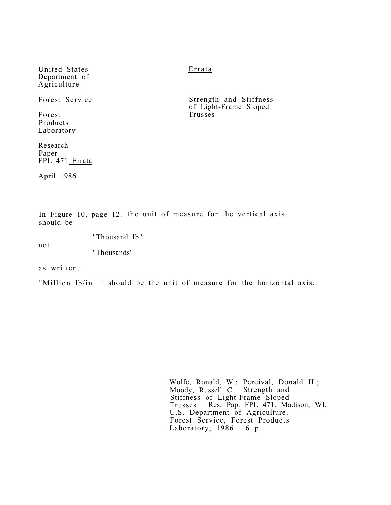United States Department of Agriculture

Forest Service

Forest Products Laboratory

Research Paper FPL 471 Errata

April 1986

Errata

Strength and Stiffness of Light-Frame Sloped Trusses

In Figure 10, page 12. the unit of measure for the vertical axis should be

"Thousand lb"

not

"Thousands"

as written.

"Million lb/in.<sup>2</sup> " should be the unit of measure for the horizontal axis.

Wolfe, Ronald, W.; Percival, Donald H.; Moody, Russell C. Strength and Stiffness of Light-Frame Sloped Trusses. Res. Pap. FPL 471. Madison, WI: U.S. Department of Agriculture. Forest Service, Forest Products Laboratory; 1986. 16 p.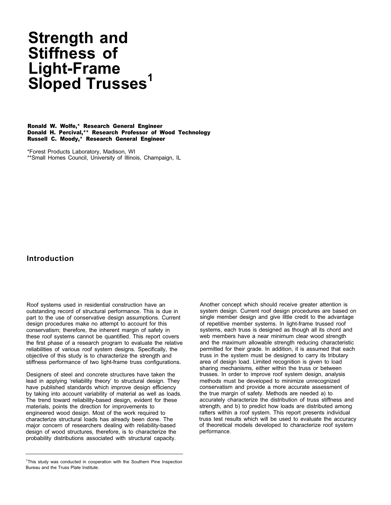## **Strength and Stiffness of Light-Frame Sloped Trusses<sup>1</sup>**

Ronald W. Wolfe,\* Research General Engineer Donald H. Percival,\*\* Research Professor of Wood Technology Russell C. Moody,\* Research General Engineer

\*Forest Products Laboratory, Madison, WI \*\*Small Homes Council, University of Illinois, Champaign, IL

#### **Introduction**

Roof systems used in residential construction have an outstanding record of structural performance. This is due in part to the use of conservative design assumptions. Current design procedures make no attempt to account for this conservatism; therefore, the inherent margin of safety in these roof systems cannot be quantified. This report covers the first phase of a research program to evaluate the relative reliabilities of various roof system designs. Specifically, the objective of this study is to characterize the strength and stiffness performance of two light-frame truss configurations.

Designers of steel and concrete structures have taken the lead in applying 'reliability theory' to structural design. They have published standards which improve design efficiency by taking into account variability of material as well as loads. The trend toward reliability-based design, evident for these materials, points the direction for improvements to engineered wood design. Most of the work required to characterize structural loads has already been done. The major concern of researchers dealing with reliability-based design of wood structures, therefore, is to characterize the probability distributions associated with structural capacity.

Another concept which should receive greater attention is system design. Current roof design procedures are based on single member design and give little credit to the advantage of repetitive member systems. In light-frame trussed roof systems, each truss is designed as though all its chord and web members have a near minimum clear wood strength and the maximum allowable strength reducing characteristic permitted for their grade. In addition, it is assumed that each truss in the system must be designed to carry its tributary area of design load. Limited recognition is given to load sharing mechanisms, either within the truss or between trusses. In order to improve roof system design, analysis methods must be developed to minimize unrecognized conservatism and provide a more accurate assessment of the true margin of safety. Methods are needed a) to accurately characterize the distribution of truss stiffness and strength, and b) to predict how loads are distributed among rafters within a roof system. This report presents individual truss test results which will be used to evaluate the accuracy of theoretical models developed to characterize roof system performance.

<sup>&</sup>lt;sup>1</sup>This study was conducted in cooperation with the Southern Pine Inspection Bureau and the Truss Plate Institute.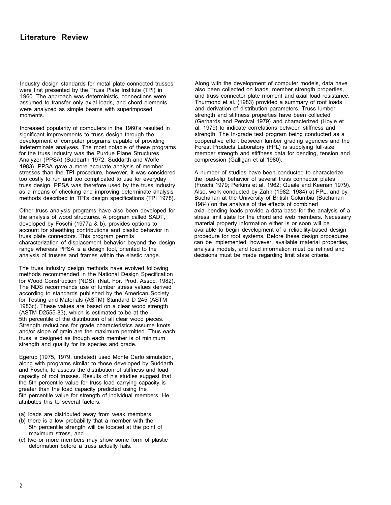### **Literature Review**

Industry design standards for metal plate connected trusses were first presented by the Truss Plate Institute (TPI) in 1960. The approach was deterministic, connections were assumed to transfer only axial loads, and chord elements were analyzed as simple beams with superimposed moments.

Increased popularity of computers in the 1960's resulted in significant improvements to truss design through the development of computer programs capable of providing indeterminate analyses. The most notable of these programs for the truss industry was the Purdue Plane Structures Analyzer (PPSA) (Suddarth 1972, Suddarth and Wolfe 1983). PPSA gave a more accurate analysis of member stresses than the TPI procedure, however, it was considered too costly to run and too complicated to use for everyday truss design. PPSA was therefore used by the truss industry as a means of checking and improving determinate analysis methods described in TPl's design specifications (TPI 1978).

Other truss analysis programs have also been developed for the analysis of wood structures. A program called SADT, developed by Foschi (1977a & b), provides options to account for sheathing contributions and plastic behavior in truss plate connectors. This program permits characterization of displacement behavior beyond the design range whereas PPSA is a design tool, oriented to the analysis of trusses and frames within the elastic range.

The truss industry design methods have evolved following methods recommended in the National Design Specification for Wood Construction (NDS), (Nat. For. Prod. Assoc. 1982). The NDS recommends use of lumber stress values derived according to standards published by the American Society for Testing and Materials (ASTM) Standard D 245 (ASTM 1983c). These values are based on a clear wood strength (ASTM D2555-83), which is estimated to be at the 5th percentile of the distribution of all clear wood pieces. Strength reductions for grade characteristics assume knots and/or slope of grain are the maximum permitted. Thus each truss is designed as though each member is of minimum strength and quality for its species and grade.

Egerup (1975, 1979, undated) used Monte Carlo simulation, along with programs similar to those developed by Suddarth and Foschi, to assess the distribution of stiffness and load capacity of roof trusses. Results of his studies suggest that the 5th percentile value for truss load carrying capacity is greater than the load capacity predicted using the 5th percentile value for strength of individual members. He attributes this to several factors:

- (a) loads are distributed away from weak members
- (b) there is a low probability that a member with the 5th percentile strength will be located at the point of maximum stress, and
- (c) two or more members may show some form of plastic deformation before a truss actually fails.

Along with the development of computer models, data have also been collected on loads, member strength properties, and truss connector plate moment and axial load resistance. Thurmond et al. (1983) provided a summary of roof loads and derivation of distribution parameters. Truss lumber strength and stiffness properties have been collected (Gerhards and Percival 1979) and characterized (Hoyle et al. 1979) to indicate correlations between stiffness and strength. The In-grade test program being conducted as a cooperative effort between lumber grading agencies and the Forest Products Laboratory (FPL) is supplying full-size member strength and stiffness data for bending, tension and compression (Galligan et al 1980).

A number of studies have been conducted to characterize the load-slip behavior of several truss connector plates (Foschi 1979; Perkins et al. 1962; Quaile and Keenan 1979). Also, work conducted by Zahn (1982, 1984) at FPL, and by Buchanan at the University of British Columbia (Buchanan 1984) on the analysis of the effects of combined axial-bending loads provide a data base for the analysis of a stress limit state for the chord and web members. Necessary material property information either is or soon will be available to begin development of a reliability-based design procedure for roof systems. Before these design procedures can be implemented, however, available material properties, analysis models, and load information must be refined and decisions must be made regarding limit state criteria.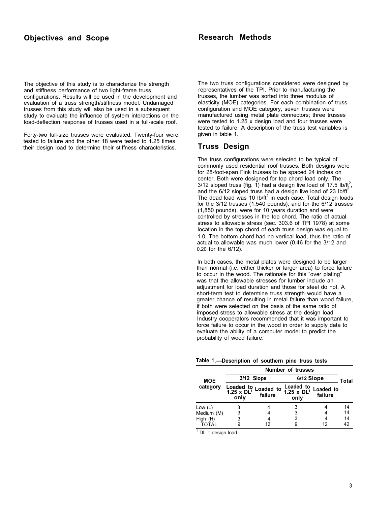The objective of this study is to characterize the strength and stiffness performance of two light-frame truss configurations. Results will be used in the development and evaluation of a truss strength/stiffness model. Undamaged trusses from this study will also be used in a subsequent study to evaluate the influence of system interactions on the load-deflection response of trusses used in a full-scale roof.

Forty-two full-size trusses were evaluated. Twenty-four were tested to failure and the other 18 were tested to 1.25 times their design load to determine their stiffness characteristics.

The two truss configurations considered were designed by representatives of the TPI. Prior to manufacturing the trusses, the lumber was sorted into three modulus of elasticity (MOE) categories. For each combination of truss configuration and MOE category, seven trusses were manufactured using metal plate connectors; three trusses were tested to 1.25 x design load and four trusses were tested to failure. A description of the truss test variables is given in table 1.

#### **Truss Design**

The truss configurations were selected to be typical of commonly used residential roof trusses. Both designs were for 28-foot-span Fink trusses to be spaced 24 inches on center. Both were designed for top chord load only. The 3/12 sloped truss (fig. 1) had a design live load of 17.5 lb/ft<sup>2</sup>, and the  $6/12$  sloped truss had a design live load of 23 lb/ft<sup>2</sup>. The dead load was 10 lb/ft $^2$  in each case. Total design loads for the 3/12 trusses (1,540 pounds), and for the 6/12 trusses (1,850 pounds), were for 10 years duration and were controlled by stresses in the top chord. The ratio of actual stress to allowable stress (sec. 303.6 of TPI 1978) at some location in the top chord of each truss design was equal to 1.0. The bottom chord had no vertical load, thus the ratio of actual to allowable was much lower (0.46 for the 3/12 and 0.20 for the 6/12).

In both cases, the metal plates were designed to be larger than normal (i.e. either thicker or larger area) to force failure to occur in the wood. The rationale for this "over plating" was that the allowable stresses for lumber include an adjustment for load duration and those for steel do not. A short-term test to determine truss strength would have a greater chance of resulting in metal failure than wood failure, if both were selected on the basis of the same ratio of imposed stress to allowable stress at the design load. Industry cooperators recommended that it was important to force failure to occur in the wood in order to supply data to evaluate the ability of a computer model to predict the probability of wood failure.

**Table 1 .—Description of southern pine truss tests** 

|            | <b>Number of trusses</b>                           |                      |                                                    |                      |    |  |  |  |
|------------|----------------------------------------------------|----------------------|----------------------------------------------------|----------------------|----|--|--|--|
| <b>MOE</b> | 3/12 Slope                                         |                      | 6/12 Slope                                         | Total                |    |  |  |  |
| category   | Loaded to<br>1.25 $\times$ DL <sup>1</sup><br>only | Loaded to<br>failure | Loaded to<br>$1.25 \times DL$ <sup>1</sup><br>only | Loaded to<br>failure |    |  |  |  |
| Low $(L)$  | 3                                                  |                      |                                                    |                      | 14 |  |  |  |
| Medium (M) | 3                                                  |                      | 3                                                  |                      | 14 |  |  |  |
| High (H)   | 3                                                  |                      | 3                                                  |                      | 14 |  |  |  |
| TOTAL      | 9                                                  | 12                   |                                                    |                      |    |  |  |  |

 $1$  DL = design load.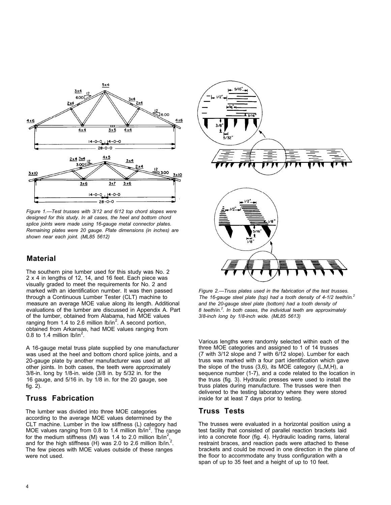

*Figure 1.—Test trusses with 3/12 and 6/12 top chord slopes were designed for this study. In all cases, the heel and bottom chord splice joints were made using 16-gauge metal connector plates. Remaining plates were 20 gauge. Plate dimensions (in inches) are shown near each joint. (ML85 5612)* 

#### **Material**

The southern pine lumber used for this study was No. 2 2 x 4 in lengths of 12, 14, and 16 feet. Each piece was visually graded to meet the requirements for No. 2 and marked with an identification number. It was then passed through a Continuous Lumber Tester (CLT) machine to measure an average MOE value along its length. Additional evaluations of the lumber are discussed in Appendix A. Part of the lumber, obtained from Alabama, had MOE values ranging from 1.4 to 2.6 million  $I\sim b/n^2$ . A second portion, obtained from Arkansas, had MOE values ranging from 0.8 to 1.4 million  $lb/in^2$ .

A 16-gauge metal truss plate supplied by one manufacturer was used at the heel and bottom chord splice joints, and a 20-gauge plate by another manufacturer was used at all other joints. In both cases, the teeth were approximately 3/8-in. long by 1/8-in. wide (3/8 in. by 5/32 in. for the 16 gauge, and 5/16 in. by 1/8 in. for the 20 gauge, see fig. 2).

#### **Truss Fabrication**

The lumber was divided into three MOE categories according to the average MOE values determined by the CLT machine. Lumber in the low stiffness (L) category had MOE values ranging from 0.8 to 1.4 million  $16$ /in<sup>2</sup>. The range for the medium stiffness (M) was 1.4 to 2.0 million  $16$ /in<sup>2</sup> , and for the high stiffness  $(H)$  was 2.0 to 2.6 million lb/in.<sup>2</sup>. The few pieces with MOE values outside of these ranges were not used.



*Figure 2.—Truss plates used in the fabrication of the test trusses. The 16-gauge steel plate (top) had a tooth density of 4-1/2 teeth/in.2 and the 20-gauge steel plate (bottom) had a tooth density of 8 teeth/in.2 . In both cases, the individual teeth are approximately 3/8-inch long by 1/8-inch wide. (ML85 5613)* 

Various lengths were randomly selected within each of the three MOE categories and assigned to 1 of 14 trusses (7 with 3/12 slope and 7 with 6/12 slope). Lumber for each truss was marked with a four part identification which gave the slope of the truss (3,6), its MOE category (L,M,H), a sequence number (1-7), and a code related to the location in the truss (fig. 3). Hydraulic presses were used to install the truss plates during manufacture. The trusses were then delivered to the testing laboratory where they were stored inside for at least 7 days prior to testing.

#### **Truss Tests**

The trusses were evaluated in a horizontal position using a test facility that consisted of parallel reaction brackets laid into a concrete floor (fig. 4). Hydraulic loading rams, lateral restraint braces, and reaction pads were attached to these brackets and could be moved in one direction in the plane of the floor to accommodate any truss configuration with a span of up to 35 feet and a height of up to 10 feet.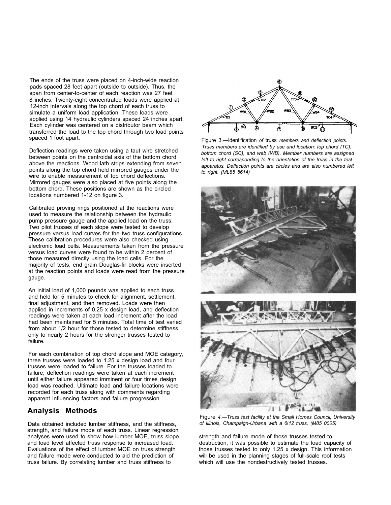The ends of the truss were placed on 4-inch-wide reaction pads spaced 28 feet apart (outside to outside). Thus, the span from center-to-center of each reaction was 27 feet 8 inches. Twenty-eight concentrated loads were applied at 12-inch intervals along the top chord of each truss to simulate a uniform load application. These loads were applied using 14 hydraulic cylinders spaced 24 inches apart. Each cylinder was centered on a distributor beam which transferred the load to the top chord through two load points spaced 1 foot apart.

Deflection readings were taken using a taut wire stretched between points on the centroidal axis of the bottom chord above the reactions. Wood lath strips extending from seven points along the top chord held mirrored gauges under the wire to enable measurement of top chord deflections. Mirrored gauges were also placed at five points along the bottom chord. These positions are shown as the circled locations numbered 1-12 on figure 3.

Calibrated proving rings positioned at the reactions were used to measure the relationship between the hydraulic pump pressure gauge and the applied load on the truss. Two pilot trusses of each slope were tested to develop pressure versus load curves for the two truss configurations. These calibration procedures were also checked using electronic load cells. Measurements taken from the pressure versus load curves were found to be within 2 percent of those measured directly using the load cells. For the majority of tests, end grain Douglas-fir blocks were inserted at the reaction points and loads were read from the pressure gauge.

An initial load of 1,000 pounds was applied to each truss and held for 5 minutes to check for alignment, settlement, final adjustment, and then removed. Loads were then applied in increments of 0.25 x design load, and deflection readings were taken at each load increment after the load had been maintained for 5 minutes. Total time of test varied from about 1/2 hour for those tested to determine stiffness only to nearly 2 hours for the stronger trusses tested to failure.

For each combination of top chord slope and MOE category, three trusses were loaded to 1.25 x design load and four trusses were loaded to failure. For the trusses loaded to failure, deflection readings were taken at each increment until either failure appeared imminent or four times design load was reached. Ultimate load and failure locations were recorded for each truss along with comments regarding apparent influencing factors and failure progression.

#### **Analysis Methods**

Data obtained included lumber stiffness, and the stiffness, strength, and failure mode of each truss. Linear regression analyses were used to show how lumber MOE, truss slope, and load level affected truss response to increased load. Evaluations of the effect of lumber MOE on truss strength and failure mode were conducted to aid the prediction of truss failure. By correlating lumber and truss stiffness to



Figure 3.—Identification *of* truss *members and deflection points. Truss members are identified by use and location: top chord (TC), bottom chord (SC), and web (WB). Member numbers are assigned*  left to right corresponding to the orientation of the truss in the test *apparatus. Deflection points are circles and are also numbered left to right. (ML85 5614)* 



Figure *4.—Truss test facility at the Small Homes Council, University of Illinois, Champaign-Urbana with a 6/12 truss. (M85 0005)* 

strength and failure mode of those trusses tested to destruction, it was possible to estimate the load capacity of those trusses tested to only 1.25 x design. This information will be used in the planning stages of full-scale roof tests which will use the nondestructively tested trusses.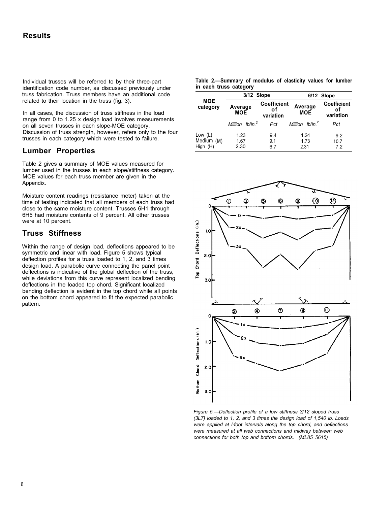Individual trusses will be referred to by their three-part identification code number, as discussed previously under truss fabrication. Truss members have an additional code related to their location in the truss (fig. 3).

In all cases, the discussion of truss stiffness in the load<br>range from 0 to  $1.25 \times$  design load involves measurements<br>on all seven trusses in each slope-MOE category. Discussion of truss strength, however, refers only to the four trusses in each category which were tested to failure.

#### **Lumber Properties**

Table 2 gives a summary of MOE values measured for lumber used in the trusses in each slope/stiffness category. MOE values for each truss member are given in the Appendix.

Moisture content readings (resistance meter) taken at the time of testing indicated that all members of each truss had close to the same moisture content. Trusses 6H1 through 6H5 had moisture contents of 9 percent. All other trusses were at 10 percent.

#### **Truss Stiffness**

Within the range of design load, deflections appeared to be symmetric and linear with load. Figure 5 shows typical deflection profiles for a truss loaded to 1, 2, and 3 times design load. A parabolic curve connecting the panel point deflections is indicative of the global deflection of the truss, while deviations from this curve represent localized bending deflections in the loaded top chord. Significant localized bending deflection is evident in the top chord while all points on the bottom chord appeared to fit the expected parabolic pattern.

|  |                        |  |  | Table 2.—Summary of modulus of elasticity values for lumber |  |  |
|--|------------------------|--|--|-------------------------------------------------------------|--|--|
|  | in each truss category |  |  |                                                             |  |  |

|                                     | 3/12 Slope                                              |                   |                             | 6/12 Slope                            |  |  |
|-------------------------------------|---------------------------------------------------------|-------------------|-----------------------------|---------------------------------------|--|--|
| <b>MOE</b><br>category              | <b>Coefficient</b><br>Average<br>οf<br>MOE<br>variation |                   | Average<br><b>MOE</b>       | <b>Coefficient</b><br>οf<br>variation |  |  |
|                                     | Million Iblin. <sup>2</sup>                             | Pct               | Million Iblin. <sup>2</sup> | Pct                                   |  |  |
| Low $(L)$<br>Medium (M)<br>High (H) | 1.23<br>1.67<br>2.30                                    | 9.4<br>9.1<br>6.7 | 1.24<br>1.73<br>2.31        | 9.2<br>10.7<br>7.2                    |  |  |



*Figure 5.—Deflection profile of a low stiffness 3/12 sloped truss (3L7) loaded to 1, 2, and 3 times the design load of 1,540 lb. Loads were applied at l-foot intervals along the top chord, and deflections were measured at all web connections and midway between web connections for both top and bottom chords. (ML85 5615)*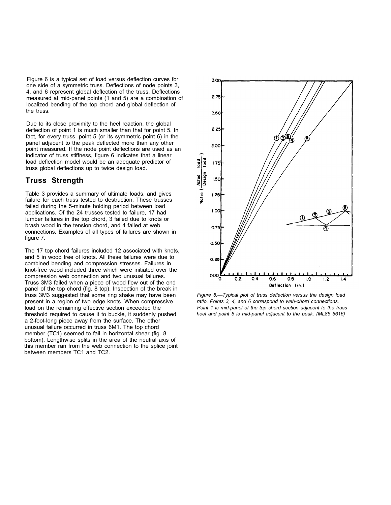Figure 6 is a typical set of load versus deflection curves for one side of a symmetric truss. Deflections of node points 3, 4, and 6 represent global deflection of the truss. Deflections measured at mid-panel points (1 and 5) are a combination of localized bending of the top chord and global deflection of the truss.

Due to its close proximity to the heel reaction, the global deflection of point 1 is much smaller than that for point 5. In fact, for every truss, point 5 (or its symmetric point 6) in the panel adjacent to the peak deflected more than any other point measured. If the node point deflections are used as an indicator of truss stiffness, figure 6 indicates that a linear load deflection model would be an adequate predictor of truss global deflections up to twice design load.

#### **Truss Strength**

Table 3 provides a summary of ultimate loads, and gives failure for each truss tested to destruction. These trusses failed during the 5-minute holding period between load applications. Of the 24 trusses tested to failure, 17 had lumber failures in the top chord, 3 failed due to knots or brash wood in the tension chord, and 4 failed at web connections. Examples of all types of failures are shown in figure 7.

The 17 top chord failures included 12 associated with knots, and 5 in wood free of knots. All these failures were due to combined bending and compression stresses. Failures in knot-free wood included three which were initiated over the compression web connection and two unusual failures. Truss 3M3 failed when a piece of wood flew out of the end panel of the top chord (fig. 8 top). Inspection of the break in truss 3M3 suggested that some ring shake may have been present in a region of two edge knots. When compressive load on the remaining effective section exceeded the threshold required to cause it to buckle, it suddenly pushed a 2-foot-long piece away from the surface. The other unusual failure occurred in truss 6M1. The top chord member (TC1) seemed to fail in horizontal shear (fig. 8 bottom). Lengthwise splits in the area of the neutral axis of this member ran from the web connection to the splice joint between members TC1 and TC2.



*Figure 6.—Typical plot of truss deflection versus the design load ratio. Points 3, 4, and 6 correspond to web-chord connections. Point 1 is mid-panel of the top chord section adjacent to the truss*  heel and point 5 is mid-panel adjacent to the peak. (ML85 5616)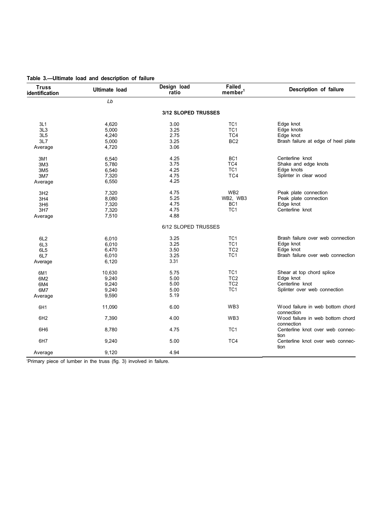| <b>Truss</b><br>identification | <b>Ultimate load</b> | Design load<br>ratio | Failed<br>member <sup>1</sup> | Description of failure                         |
|--------------------------------|----------------------|----------------------|-------------------------------|------------------------------------------------|
|                                | Lb                   |                      |                               |                                                |
|                                |                      | 3/12 SLOPED TRUSSES  |                               |                                                |
| 3L1                            | 4,620                | 3.00                 | TC <sub>1</sub>               | Edge knot                                      |
| 3L3                            | 5,000                | 3.25                 | TC <sub>1</sub>               | Edge knots                                     |
| 3L5                            | 4,240                | 2.75                 | TC4                           | Edge knot                                      |
| 3L7                            | 5,000                | 3.25                 | BC <sub>2</sub>               | Brash failure at edge of heel plate            |
| Average                        | 4,720                | 3.06                 |                               |                                                |
| 3M1                            | 6,540                | 4.25                 | BC <sub>1</sub>               | Centerline knot                                |
| 3M <sub>3</sub>                | 5,780                | 3.75                 | TC4                           | Shake and edge knots                           |
| 3M <sub>5</sub>                | 6,540                | 4.25                 | TC <sub>1</sub>               | Edge knots                                     |
| 3M7                            | 7,320                | 4.75                 | TC4                           | Splinter in clear wood                         |
| Average                        | 6,550                | 4.25                 |                               |                                                |
| 3H2                            | 7,320                | 4.75                 | WB <sub>2</sub>               | Peak plate connection                          |
| 3H4                            | 8,080                | 5.25                 | WB2, WB3                      | Peak plate connection                          |
| 3H6                            | 7,320                | 4.75                 | BC <sub>1</sub>               | Edge knot                                      |
| 3H7                            | 7,320                | 4.75                 | TC <sub>1</sub>               | Centerline knot                                |
| Average                        | 7,510                | 4.88                 |                               |                                                |
|                                |                      | 6/12 SLOPED TRUSSES  |                               |                                                |
| 6L <sub>2</sub>                | 6,010                | 3.25                 | TC <sub>1</sub>               | Brash failure over web connection              |
| 6L <sub>3</sub>                | 6,010                | 3.25                 | TC <sub>1</sub>               | Edge knot                                      |
| 6L <sub>5</sub>                | 6,470                | 3.50                 | TC <sub>2</sub>               | Edge knot                                      |
| 6L7                            | 6,010                | 3.25                 | TC <sub>1</sub>               | Brash failure over web connection              |
| Average                        | 6,120                | 3.31                 |                               |                                                |
| 6M1                            | 10,630               | 5.75                 | TC <sub>1</sub>               | Shear at top chord splice                      |
| 6M2                            | 9,240                | 5.00                 | TC <sub>2</sub>               | Edge knot                                      |
| 6M4                            | 9,240                | 5.00                 | TC <sub>2</sub>               | Centerline knot                                |
| 6M7                            | 9,240                | 5.00                 | TC <sub>1</sub>               | Splinter over web connection                   |
| Average                        | 9,590                | 5.19                 |                               |                                                |
| 6H1                            | 11,090               | 6.00                 | WB3                           | Wood failure in web bottom chord<br>connection |
| 6H <sub>2</sub>                | 7,390                | 4.00                 | WB <sub>3</sub>               | Wood failure in web bottom chord<br>connection |
| 6H <sub>6</sub>                | 8,780                | 4.75                 | TC <sub>1</sub>               | Centerline knot over web connec-<br>tion       |
| 6H7                            | 9,240                | 5.00                 | TC4                           | Centerline knot over web connec-<br>tion       |
| Average                        | 9,120                | 4.94                 |                               |                                                |

**Table 3.—Ultimate load and description of failure** 

'Primary piece of lumber in the truss (fig. 3) involved in failure.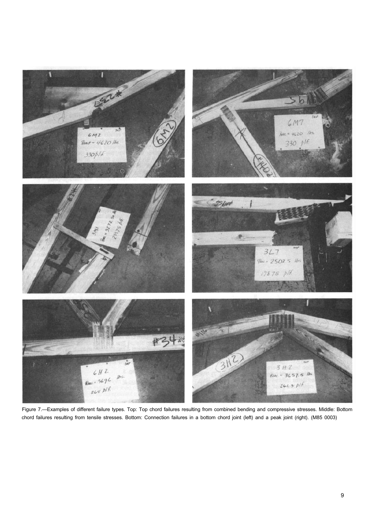

Figure 7.—Examples of different failure types. Top: Top chord failures resulting from combined bending and compressive stresses. Middle: Bottom chord failures resulting from tensile stresses. Bottom: Connection failures in a bottom chord joint (left) and a peak joint (right). (M85 0003)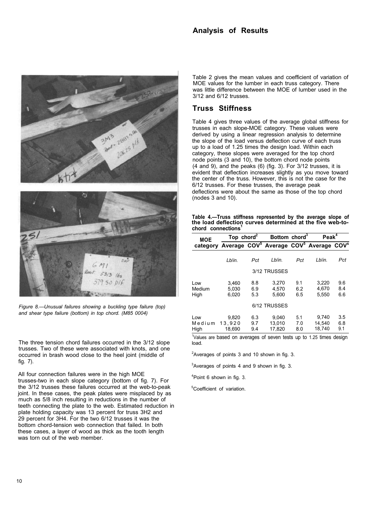### **Analysis of Results**



*Figure 8.—Unusual failures showing a buckling type failure (top) and shear type failure (bottom) in top chord. (M85 0004)* 

The three tension chord failures occurred in the 3/12 slope trusses. Two of these were associated with knots, and one occurred in brash wood close to the heel joint (middle of fig. 7).

All four connection failures were in the high MOE trusses-two in each slope category (bottom of fig. 7). For the 3/12 trusses these failures occurred at the web-to-peak joint. In these cases, the peak plates were misplaced by as much as 5/8 inch resulting in reductions in the number of teeth connecting the plate to the web. Estimated reduction in plate holding capacity was 13 percent for truss 3H2 and 29 percent for 3H4. For the two 6/12 trusses it was the bottom chord-tension web connection that failed. In both these cases, a layer of wood as thick as the tooth length was torn out of the web member.

Table 2 gives the mean values and coefficient of variation of MOE values for the lumber in each truss category. There was little difference between the MOE of lumber used in the 3/12 and 6/12 trusses.

#### **Truss Stiffness**

Table 4 gives three values of the average global stiffness for trusses in each slope-MOE category. These values were derived by using a linear regression analysis to determine the slope of the load versus deflection curve of each truss up to a load of 1.25 times the design load. Within each category, these slopes were averaged for the top chord node points (3 and 10), the bottom chord node points (4 and 9), and the peaks (6) (fig. 3). For 3/12 trusses, it is evident that deflection increases slightly as you move toward the center of the truss. However, this is not the case for the 6/12 trusses. For these trusses, the average peak deflections were about the same as those of the top chord (nodes 3 and 10).

**Table 4.—Truss stiffness represented by the average slope of the load deflection curves determined at the five web-tochord connections<sup>1</sup>**

| <b>MOE</b>            | Top chord <sup>2</sup>                                                              |                   | Bottom chord <sup>3</sup> |                   |                           | Peak <sup>4</sup> |  |  |  |  |  |
|-----------------------|-------------------------------------------------------------------------------------|-------------------|---------------------------|-------------------|---------------------------|-------------------|--|--|--|--|--|
|                       | category Average COV <sup>5</sup> Average COV <sup>5</sup> Average COV <sup>s</sup> |                   |                           |                   |                           |                   |  |  |  |  |  |
|                       | Lblin.                                                                              | Pct               | Lblin.                    | Pct               | Lb/in.                    | Pct               |  |  |  |  |  |
| 3/12 TRUSSES          |                                                                                     |                   |                           |                   |                           |                   |  |  |  |  |  |
| Low<br>Medium<br>High | 3.460<br>5.030<br>6,020                                                             | 8.8<br>6.9<br>5.3 | 3.270<br>4.570<br>5,600   | 9.1<br>6.2<br>6.5 | 3,220<br>4.670<br>5,550   | 9.6<br>8.4<br>6.6 |  |  |  |  |  |
| 6/12 TRUSSES          |                                                                                     |                   |                           |                   |                           |                   |  |  |  |  |  |
| Low<br>Medium<br>High | 9,820<br>13.920<br>18.690                                                           | 6.3<br>9.7<br>9.4 | 9.040<br>13.010<br>17,820 | 5.1<br>7.0<br>8.0 | 9,740<br>14.540<br>18.740 | 3.5<br>6.8<br>9.1 |  |  |  |  |  |

1 Values are based on averages of seven tests up to 1.25 times design load.

 $2$ Averages of points 3 and 10 shown in fig. 3.

 $3$ Averages of points 4 and 9 shown in fig. 3.

4 Point 6 shown in fig. 3.

<sup>5</sup>Coefficient of variation.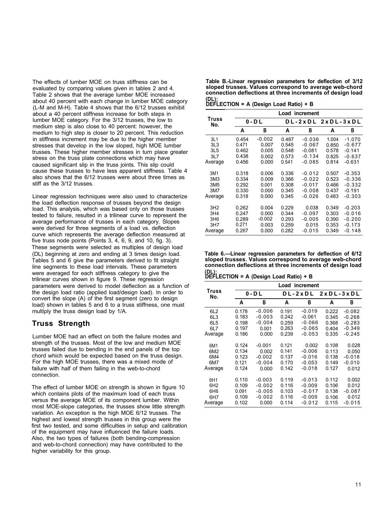Table 2 shows that the average lumber MOE increased about 40 percent with each change in lumber MOE category (L-M and M-H). Table 4 shows that the 6/12 trusses exhibit **DEFLECTION = A (Design Load Ratio) + B** about a 40 percent stiffness increase for both steps in lumber MOE category. For the 3/12 trusses, the low to medium step is also close to 40 percent: however, the medium to high step is closer to 20 percent. This reduction in stiffness increment may be due to the higher member stresses that develop in the low sloped, high MOE lumber trusses. These higher member stresses in turn place greater stress on the truss plate connections which may have caused significant slip in the truss joints. This slip could cause these trusses to have less apparent stiffness. Table 4 also shows that the 6/12 trusses were about three times as stiff as the 3/12 trusses.

Linear regression techniques were also used to characterize the load deflection response of trusses beyond the design load. This analysis, which was based only on those trusses tested to failure, resulted in a trilinear curve to represent the average performance of trusses in each category. Slopes were derived for three segments of a load vs. deflection curve which represents the average deflection measured at five truss node points (Points 3, 4, 6, 9, and 10, fig. 3). These segments were selected as multiples of design load line segments to these load intervals. These parameters were averaged for each stiffness category to give the were averaged for each stiffness category to give the **DEFLECTION = A (Design Load Ratio) + B**<br>trilinear curves shown in figure 9. These regression parameters were derived to model deflection as a function of the design load ratio (applied load/design load). In order to convert the slope (A) of the first segment (zero to design load) shown in tables 5 and 6 to a truss stiffness, one must multiply the truss design load by 1/A.

#### **Truss Strength**

Lumber MOE had an effect on both the failure modes and strength of the trusses. Most of the low and medium MOE trusses failed due to bending in the end panels of the top chord which would be expected based on the truss design. For the high MOE trusses, there was a mixed mode of failure with half of them failing in the web-to-chord connection.

The effect of lumber MOE on strength is shown in figure 10 which contains plots of the maximum load of each truss versus the average MOE of its component lumber. Within most MOE-slope categories, the trusses show little strength variation. An exception is the high MOE 6/12 trusses. The highest and lowest strength trusses in this group were the first two tested, and some difficulties in setup and calibration of the equipment may have influenced the failure loads. Also, the two types of failures (both bending-compression and web-to-chord connection) may have contributed to the higher variability for this group.

The effects of lumber MOE on truss stiffness can be **Table B.-Linear regression parameters for deflection of 3/12**  evaluated by comparing values given in tables 2 and 4. **sloped trusses. Values correspond to average web-chord** 

|                 | increment<br>Load |          |       |          |                   |          |  |  |  |  |  |
|-----------------|-------------------|----------|-------|----------|-------------------|----------|--|--|--|--|--|
| Truss<br>No.    |                   | 0 - D L  |       |          | DL-2xDL 2xDL-3xDL |          |  |  |  |  |  |
|                 | А                 | в        | A     | в        | A                 | В        |  |  |  |  |  |
| 3L1             | 0.454             | -0.002   | 0.487 | $-0.036$ | 1.004             | $-1.070$ |  |  |  |  |  |
| 3L3             | 0.471             | 0.007    | 0.545 | $-0.067$ | 0.850             | $-0.677$ |  |  |  |  |  |
| 3L5             | 0.462             | 0.005    | 0.548 | $-0.081$ | 0.578             | $-0.141$ |  |  |  |  |  |
| 3L7             | 0.438             | 0.002    | 0.573 | $-0.134$ | 0.825             | $-0.637$ |  |  |  |  |  |
| Average         | 0.456             | 0.000    | 0.541 | $-0.085$ | 0.814             | $-0.631$ |  |  |  |  |  |
| 3M1             | 0.318             | 0.006    | 0.336 | $-0.012$ | 0.507             | $-0.353$ |  |  |  |  |  |
| 3M <sub>3</sub> | 0.334             | 0.009    | 0.366 | $-0.022$ | 0.523             | $-0.336$ |  |  |  |  |  |
| 3M5             | 0.292             | 0.001    | 0.308 | $-0.017$ | 0.466             | $-0.332$ |  |  |  |  |  |
| 3M7             | 0.330             | 0.000    | 0.345 | $-0.008$ | 0.437             | $-0.191$ |  |  |  |  |  |
| Average         | 0.318             | 0.000    | 0.345 | -0.026   | 0.483             | -0.303   |  |  |  |  |  |
| 3H2             | 0.262             | 0.004    | 0.229 | 0.038    | 0.349             | $-0.203$ |  |  |  |  |  |
| 3H4             | 0.247             | 0.000    | 0.344 | $-0.097$ | 0.303             | $-0.016$ |  |  |  |  |  |
| 3H6             | 0.289             | $-0.002$ | 0.293 | $-0.005$ | 0.390             | $-0.200$ |  |  |  |  |  |
| 3H7             | 0.271             | 0.003    | 0.259 | 0.015    | 0.353             | $-0.173$ |  |  |  |  |  |
| Average         | 0.267             | 0.000    | 0.282 | $-0.015$ | 0.349             | $-0.148$ |  |  |  |  |  |

(DL) beginning at zero and ending at 3 times design load. **Table 6.—Linear regression parameters for deflection of 6/12**  Tables 5 and 6 give the parameters derived to fit straight **sloped trusses. Values correspond to average web-chord** 

|                 | Load increment |           |       |          |             |          |  |  |  |  |  |
|-----------------|----------------|-----------|-------|----------|-------------|----------|--|--|--|--|--|
| Truss<br>No.    |                | $0 - D L$ |       | DL-2xDL  | $2xDL-3xDL$ |          |  |  |  |  |  |
|                 | А              | В         | A     | В        | A           | в        |  |  |  |  |  |
| 6L2             | 0.178          | $-0.006$  | 0.191 | $-0.019$ | 0.222       | $-0.082$ |  |  |  |  |  |
| 6L <sub>3</sub> | 0.183          | $-0.003$  | 0.242 | $-0.061$ | 0.345       | $-0.268$ |  |  |  |  |  |
| 6L <sub>5</sub> | 0.198          | $-0.004$  | 0.259 | $-0.066$ | 0.368       | $-0.283$ |  |  |  |  |  |
| 6L7             | 0.197          | 0.001     | 0.263 | $-0.065$ | 0.404       | $-0.349$ |  |  |  |  |  |
| Average         | 0.186          | 0.000     | 0.239 | $-0.053$ | 0.335       | $-0.245$ |  |  |  |  |  |
| 6M1             | 0.124          | $-0.001$  | 0.121 | 0.002    | 0.108       | 0.028    |  |  |  |  |  |
| 6M2             | 0.134          | 0.002     | 0.141 | $-0.006$ | 0.113       | 0.050    |  |  |  |  |  |
| 6M4             | 0.123          | $-0.002$  | 0.137 | $-0.016$ | 0.138       | $-0.018$ |  |  |  |  |  |
| 6M7             | 0.121          | $-0.004$  | 0.170 | $-0.053$ | 0.149       | $-0.010$ |  |  |  |  |  |
| Average         | 0.124          | 0.000     | 0.142 | $-0.018$ | 0.127       | 0.012    |  |  |  |  |  |
| 6H1             | 0.110          | $-0.003$  | 0.119 | $-0.013$ | 0.112       | 0.002    |  |  |  |  |  |
| 6H <sub>2</sub> | 0.109          | $-0.002$  | 0.116 | $-0.009$ | 0.106       | 0.012    |  |  |  |  |  |
| 6H <sub>6</sub> | 0.091          | $-0.005$  | 0.103 | $-0.017$ | 0.138       | $-0.087$ |  |  |  |  |  |
| 6H7             | 0.109          | $-0.002$  | 0.116 | $-0.009$ | 0.106       | 0.012    |  |  |  |  |  |
| Average         | 0.102          | 0.000     | 0.114 | $-0.012$ | 0.115       | $-0.015$ |  |  |  |  |  |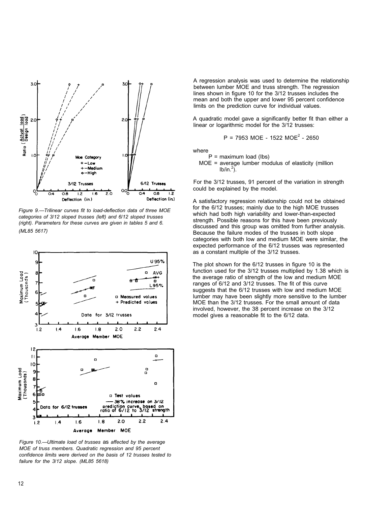

*Figure 9.—Trilinear curves fit to load-deflection data of three MOE categories of 3/12 sloped trusses (left) and 6/12 sloped trusses (right). Parameters for these curves are given in tables 5 and 6. (ML85 5617)* 



*Figure 10.—Ultimate load of trusses* as *affected by the average MOE of truss members. Quadratic regression and 95 percent confidence limits were derived on the basis of 12 trusses tested to failure for the 3/12 slope. (ML85 5618)* 

A regression analysis was used to determine the relationship between lumber MOE and truss strength. The regression lines shown in figure 10 for the 3/12 trusses includes the mean and both the upper and lower 95 percent confidence limits on the prediction curve for individual values.

A quadratic model gave a significantly better fit than either a linear or logarithmic model for the 3/12 trusses:

$$
P = 7953
$$
 MOE - 1522  $MOE^2 - 2650$ 

where

- $P =$  maximum load (Ibs)
- MOE = average lumber modulus of elasticity (million  $lb/in.<sup>2</sup>$ ).

For the 3/12 trusses, 91 percent of the variation in strength could be explained by the model.

A satisfactory regression relationship could not be obtained for the 6/12 trusses; mainly due to the high MOE trusses which had both high variability and lower-than-expected strength. Possible reasons for this have been previously discussed and this group was omitted from further analysis. Because the failure modes of the trusses in both slope categories with both low and medium MOE were similar, the expected performance of the 6/12 trusses was represented as a constant multiple of the 3/12 trusses.

The plot shown for the 6/12 trusses in figure 10 is the function used for the 3/12 trusses multiplied by 1.38 which is the average ratio of strength of the low and medium MOE ranges of 6/12 and 3/12 trusses. The fit of this curve suggests that the 6/12 trusses with low and medium MOE lumber may have been slightly more sensitive to the lumber MOE than the 3/12 trusses. For the small amount of data involved, however, the 38 percent increase on the 3/12 model gives a reasonable fit to the 6/12 data.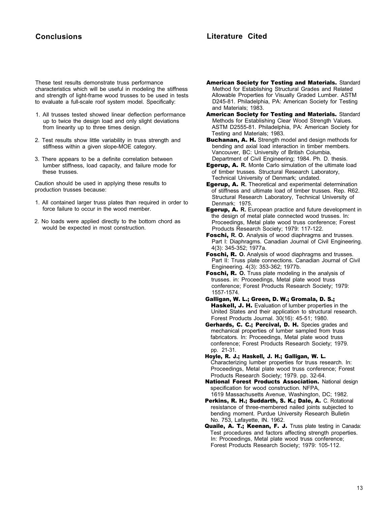#### **Conclusions Literature Cited**

These test results demonstrate truss performance characteristics which will be useful in modeling the stiffness and strength of light-frame wood trusses to be used in tests to evaluate a full-scale roof system model. Specifically:

- 1. All trusses tested showed linear deflection performance up to twice the design load and only slight deviations from linearity up to three times design.
- 2. Test results show little variability in truss strength and stiffness within a given slope-MOE category.
- 3. There appears to be a definite correlation between lumber stiffness, load capacity, and failure mode for these trusses.

Caution should be used in applying these results to production trusses because:

- 1. All contained larger truss plates than required in order to force failure to occur in the wood member.
- 2. No loads were applied directly to the bottom chord as would be expected in most construction.
- American Society for Testing and Materials. Standard Method for Establishing Structural Grades and Related Allowable Properties for Visually Graded Lumber. ASTM D245-81. Philadelphia, PA: American Society for Testing and Materials; 1983.
- American Society for Testing and Materials. Standard Methods for Establishing Clear Wood Strength Values. ASTM D2555-81. Philadelphia, PA: American Society for Testing and Materials; 1983.

Buchanan, A. H. Strength model and design methods for bending and axial load interaction in timber members. Vancouver, BC: University of British Columbia, Department of Civil Engineering; 1984. Ph. D. thesis.

- Egerup, A. **R.** Monte Carlo simulation of the ultimate load of timber trusses. Structural Research Laboratory, Technical University of Denmark; undated.
- Egerup, A. **R.** Theoretical and experimental determination of stiffness and ultimate load of timber trusses. Rep. R62. Structural Research Laboratory, Technical University of Denmark; 1975.
- Egerup, A. **R.** European practice and future development in the design of metal plate connected wood trusses. In: Proceedings, Metal plate wood truss conference; Forest Products Research Society; 1979: 117-122.
- Foschi, **R. O.** Analysis of wood diaphragms and trusses. Part I: Diaphragms. Canadian Journal of Civil Engineering. 4(3): 345-352; 1977a.
- Foschi, R. **O.** Analysis of wood diaphragms and trusses. Part II: Truss plate connections. Canadian Journal of Civil Engineering. 4(3): 353-362; 1977b.
- Foschi, R. **O.** Truss plate modeling in the analysis of trusses. in: Proceedings, Metal plate wood truss conference; Forest Products Research Society; 1979: 1557-1574.
- Galligan, W. L.; Green, D. W.; Gromala, D. S.; Haskell, J. H. Evaluation of lumber properties in the United States and their application to structural research. Forest Products Journal. 30(16): 45-51; 1980.
- Gerhards, C. C.; Percival, D. H. Species grades and mechanical properties of lumber sampled from truss fabricators. In: Proceedings, Metal plate wood truss conference; Forest Products Research Society; 1979. pp. 21-31.
- Hoyle, R. J.; Haskell, J. H.; Galligan, W. L. Characterizing lumber properties for truss research. In: Proceedings, Metal plate wood truss conference; Forest Products Research Society; 1979. pp. 32-64.
- **National Forest Products Association.** National design specification for wood construction. NFPA,
- 1619 Massachusetts Avenue, Washington, DC; 1982. Perkins, R. H.; Suddarth, S. K.; Dale, A. C. Rotational resistance of three-membered nailed joints subjected to bending moment. Purdue University Research Bulletin No. 753, Lafayette, IN. 1962.
- Quaile, A. T.; Keenan, F. J. Truss plate testing in Canada: Test procedures and factors affecting strength properties. In: Proceedings, Metal plate wood truss conference; Forest Products Research Society; 1979: 105-112.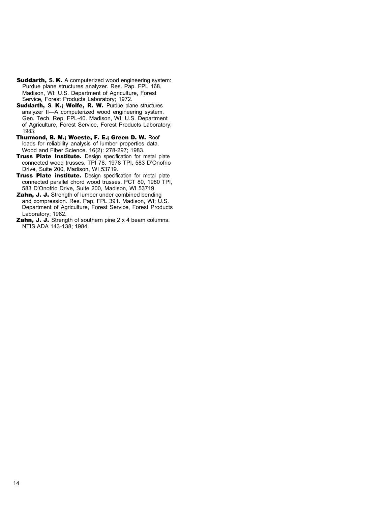- Suddarth, **S.** K. A computerized wood engineering system: Purdue plane structures analyzer. Res. Pap. FPL 168. Madison, WI: U.S. Department of Agriculture, Forest Service, Forest Products Laboratory; 1972.
- Suddarth, S. K.; Wolfe, R. W. Purdue plane structures analyzer II—A computerized wood engineering system. Gen. Tech. Rep. FPL-40. Madison, WI: U.S. Department of Agriculture, Forest Service, Forest Products Laboratory; 1983.
- Thurmond, B. M.; Woeste, F. E.; Green D. W. Roof loads for reliability analysis of lumber properties data. Wood and Fiber Science. 16(2): 278-297; 1983.
- Truss Plate Institute. Design specification for metal plate connected wood trusses. TPI 78. 1978 TPI, 583 D'Onofrio Drive, Suite 200, Madison, WI 53719.
- Truss Plate institute. Design specification for metal plate connected parallel chord wood trusses. PCT 80, 1980 TPI, 583 D'Onofrio Drive, Suite 200, Madison, WI 53719.
- Zahn, J. J. Strength of lumber under combined bending and compression. Res. Pap. FPL 391. Madison, WI: U.S. Department of Agriculture, Forest Service, Forest Products Laboratory; 1982.
- **Zahn, J. J.** Strength of southern pine 2 x 4 beam columns. NTIS ADA 143-138; 1984.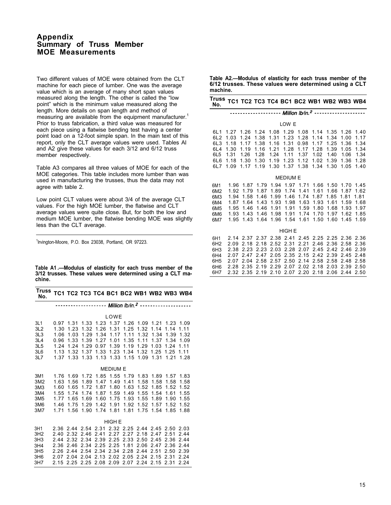#### **Appendix Summary of Truss Member MOE Measurements**

Two different values of MOE were obtained from the CLT machine for each piece of lumber. One was the average value which is an average of many short span values measured along the length. The other is called the "low point" which is the minimum value measured along the length. More details on span length and method of measuring are available from the equipment manufacturer.<sup>1</sup> Prior to truss fabrication, a third value was measured for each piece using a flatwise bending test having a center point load on a 12-foot simple span. In the main text of this report, only the CLT average values were used. Tables Al and A2 give these values for each 3/12 and 6/12 truss member respectively.

Table A3 compares all three values of MOE for each of the MOE categories. This table includes more lumber than was used in manufacturing the trusses, thus the data may not agree with table 2.

Low point CLT values were about 3/4 of the average CLT values. For the high MOE lumber, the flatwise and CLT average values were quite close. But, for both the low and medium MOE lumber, the flatwise bending MOE was slightly less than the CLT average.

<sup>1</sup> Irvington-Moore, P.O. Box 23038, Portland, OR 97223.

**Table A1 .—Modulus of elasticity for each truss member of the 3/12 trusses. These values were determined using a CLT machine.**

| <b>Truss</b><br>No.                                                               |                                                      |                                                      |                                                      |                                                                     |                                                      |                                                      |                                                      |                                                                          |                                                      | TC1 TC2 TC3 TC4 BC1 BC2 WB1 WB2 WB3 WB4              |
|-----------------------------------------------------------------------------------|------------------------------------------------------|------------------------------------------------------|------------------------------------------------------|---------------------------------------------------------------------|------------------------------------------------------|------------------------------------------------------|------------------------------------------------------|--------------------------------------------------------------------------|------------------------------------------------------|------------------------------------------------------|
|                                                                                   |                                                      |                                                      |                                                      | ------ Million Ib/in. <sup>2</sup> --------------                   |                                                      |                                                      |                                                      |                                                                          |                                                      |                                                      |
|                                                                                   |                                                      |                                                      |                                                      |                                                                     | LOWE                                                 |                                                      |                                                      |                                                                          |                                                      |                                                      |
| 3L1<br>3L2<br>3L3<br>3L4<br>3L5<br>3L6                                            | 0.97<br>1.30<br>1.06<br>0.96<br>1.24<br>1.13         | 1.31<br>1.23<br>1.03<br>1.33<br>1.24<br>1.32         | 1.33<br>1.32<br>1.29<br>1.39<br>1.29<br>1.37         | 1.26<br>1.34<br>1.27<br>0.97<br>1.33                                | 1.31<br>1.17<br>1.01<br>1.39<br>1.23                 | 1.25<br>1.11<br>1.35<br>1.19<br>1.34                 | 1.32<br>1.32<br>1.11<br>1.29<br>1.32                 | 1.23 1.37 1.26 1.09 1.21<br>1.14<br>1.34<br>1.37<br>1.03<br>1.25         | 1.14<br>1.39<br>1.34<br>1.24<br>1.25                 | 1.23 1.09<br>1.11<br>1.32<br>1.09<br>1.11<br>1.11    |
| 3L7                                                                               | 1.37                                                 | 1.33                                                 | 1.33                                                 | 1.13                                                                | 1.33                                                 | 1.15                                                 | 1.09                                                 | 1.31                                                                     | 1.21                                                 | 1.28                                                 |
|                                                                                   |                                                      |                                                      |                                                      |                                                                     | <b>MEDIUM E</b>                                      |                                                      |                                                      |                                                                          |                                                      |                                                      |
| 3M1<br>3M2<br>3M <sub>3</sub><br>3M4<br>3M <sub>5</sub><br>3M6<br>3M7             | 1.76<br>1.63<br>1.60<br>1.55<br>1.77<br>1.46<br>1.71 | 1.69<br>1.56<br>1.65<br>1.74<br>1.65<br>1.75<br>1.56 | 1.72<br>1.89<br>1.72<br>1.74<br>1.69<br>1.29<br>1.90 | 1.85<br>1.47<br>1.87<br>1.87<br>1.60<br>1.42<br>1.74                | 1.55<br>1.49<br>1.80<br>1.59<br>1.75<br>1.91<br>1.81 | 1.79<br>1.41<br>1.63<br>1.49<br>1.93<br>1.92<br>1.81 | 1.83<br>1.58<br>1.52<br>1.55<br>1.55<br>1.52<br>1.75 | 1.89<br>1.58<br>1.85<br>1.54<br>1.89<br>1.57<br>1.54                     | 1.57<br>1.58<br>1.52<br>1.61<br>1.90<br>1.52<br>1.85 | 1.83<br>1.58<br>1.52<br>1.55<br>1.55<br>1.52<br>1.88 |
|                                                                                   |                                                      |                                                      |                                                      |                                                                     | <b>HIGH E</b>                                        |                                                      |                                                      |                                                                          |                                                      |                                                      |
| 3H1<br>3H <sub>2</sub><br>3H <sub>3</sub><br>3H4<br>3H <sub>5</sub><br>3H6<br>3H7 | 2.40<br>2.44<br>2.36<br>2.26<br>2.07<br>2.15         | 2.32<br>2.32<br>2.46<br>2.44<br>2.04<br>2.25         | 2.46<br>2.34<br>2.34<br>2.54<br>2.04<br>2.25         | 2.36 2.44 2.54 2.31<br>2.41<br>2.39<br>2.25<br>2.34<br>2.13<br>2.08 | 2.27<br>2.25<br>2.25<br>2.34<br>2.02<br>2.09         | 2.27<br>2.33<br>1.81<br>2.28<br>2.05<br>2.07         | 2.18<br>2.50<br>2.06<br>2.44<br>2.24<br>2.24         | 2.32 2.25 2.44 2.45 2.50<br>2.47<br>2.45<br>2.47<br>2.51<br>2.15<br>2.15 | 2.51<br>2.36<br>2.36<br>2.50<br>2.31<br>2.31         | 2.03<br>2.44<br>2.44<br>2.44<br>2.39<br>2.24<br>2.24 |

**Table A2.—Modulus of elasticity for each truss member of the 6/12 trusses. These values were determined using a CLT machine.**

| Truss TC1 TC2 TC3 TC4 BC1 BC2 WB1 WB2 WB3 WB4<br>No.      |                                                      |                                              |                                                          |                                                                                                                                                                                                                          |                                      |                                                                                        |                                              |                                              |                                              |                                                           |
|-----------------------------------------------------------|------------------------------------------------------|----------------------------------------------|----------------------------------------------------------|--------------------------------------------------------------------------------------------------------------------------------------------------------------------------------------------------------------------------|--------------------------------------|----------------------------------------------------------------------------------------|----------------------------------------------|----------------------------------------------|----------------------------------------------|-----------------------------------------------------------|
|                                                           |                                                      |                                              |                                                          |                                                                                                                                                                                                                          |                                      |                                                                                        |                                              |                                              |                                              |                                                           |
|                                                           |                                                      |                                              |                                                          |                                                                                                                                                                                                                          | LOW E                                |                                                                                        |                                              |                                              |                                              |                                                           |
| 6L1<br>6L2<br>6L3<br>6L4<br>6L <sub>5</sub><br>6L6<br>6L7 | 1.27<br>1.03<br>1.18<br>1.30<br>1.31<br>1.18<br>1.09 | 1.24<br>1.17<br>1.19<br>1.26<br>1.30<br>1.17 | 1.38<br>1.38<br>1.16<br>1.28<br>1.30 1.19<br>1.19        | 1.26 1.24 1.08 1.29 1.08 1.14 1.35<br>1.31<br>1.16<br>1.21<br>1.24<br>1.30                                                                                                                                               | 1.23<br>1.31<br>1.11<br>1.23<br>1.37 | 1.28<br>0.98<br>1.28 1.17<br>1.37<br>1.12<br>1.38                                      | 1.14<br>1.17<br>1.28<br>1.02<br>1.02<br>1.34 | 1.34<br>1.25<br>1.39<br>1.40<br>1.39<br>1.30 | 1.00<br>1.36<br>1.05<br>1.06<br>1.36<br>1.05 | 1.26 1.40<br>1.17<br>1.34<br>1.34<br>1.34<br>1.28<br>1.40 |
|                                                           |                                                      |                                              |                                                          |                                                                                                                                                                                                                          |                                      |                                                                                        |                                              |                                              |                                              |                                                           |
|                                                           |                                                      |                                              |                                                          |                                                                                                                                                                                                                          | <b>MEDIUM E</b>                      |                                                                                        |                                              |                                              |                                              |                                                           |
| 6M1<br>6M2<br>6M3<br>6M4<br>6M <sub>5</sub><br>6M6<br>6M7 | 1.92<br>1.94<br>1.95                                 | 1.79<br>1.58<br>1.46                         | 1.87<br>1.46<br>1.46<br>1.93 1.43 1.46<br>1.95 1.43 1.64 | 1.96 1.87 1.79 1.94 1.97 1.71 1.66 1.50 1.70 1.45<br>1.99<br>1.87 1.64 1.43 1.93 1.98 1.63 1.93 1.61<br>1.91                                                                                                             | 1.46<br>1.91                         | 1.89 1.74 1.41 1.61<br>1.74<br>1.59<br>1.98 1.91 1.74 1.70 1.97 1.62<br>1.96 1.54 1.61 | 1.87<br>1.80<br>1.50                         | 1.66<br>1.85<br>1.68                         | 1.87<br>1.81<br>1.93<br>1.60 1.45            | 1.62<br>1.81<br>1.59 1.68<br>1.97<br>1.85<br>1.59         |
|                                                           |                                                      |                                              |                                                          |                                                                                                                                                                                                                          | <b>HIGH E</b>                        |                                                                                        |                                              |                                              |                                              |                                                           |
| 6H1<br>6H <sub>2</sub><br>6H3<br>6H4<br>6H <sub>5</sub>   | 2.09<br>2.07                                         | 2.18<br>2.07 2.47                            |                                                          | 2.14 2.37 2.37 2.38 2.41 2.45 2.25 2.25 2.36 2.36<br>2.18 2.52 2.31 2.21 2.46<br>2.38 2.23 2.23 2.03 2.28 2.07 2.45 2.42 2.46 2.39<br>2.47 2.05 2.35 2.15 2.42 2.39 2.45 2.48<br>2.04 2.58 2.57 2.50 2.14 2.58 2.58 2.48 |                                      |                                                                                        |                                              |                                              | 2.36 2.58                                    | 2.36<br>2.58                                              |

6H5 2.07 2.04 2.58 2.57 2.50 2.14 2.58 2.58 2.48 2.58 6H6 2.28 2.35 2.19 2.29 2.07 2.02 2.18 2.03 2.39 2.50 6H7 2.32 2.35 2.19 2.10 2.07 2.20 2.18 2.06 2.44 2.50